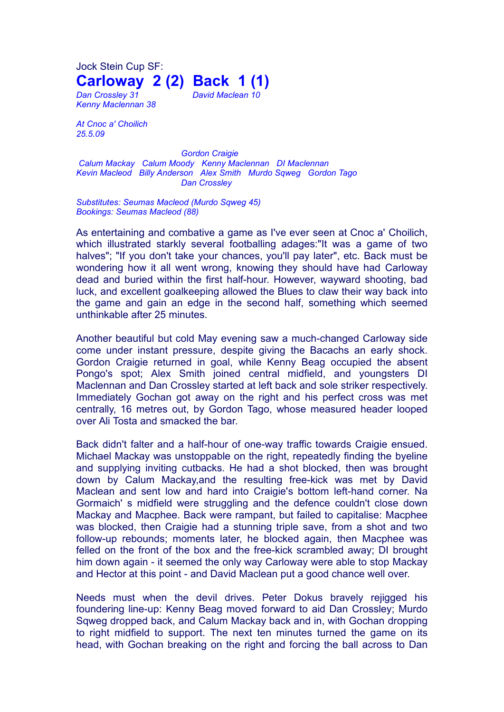Jock Stein Cup SF: **Carloway 2 (2) Back 1 (1)**

*Kenny Maclennan 38*

*Dan Crossley 31 David Maclean 10*

*At Cnoc a' Choilich 25.5.09*

*Gordon Craigie Calum Mackay Calum Moody Kenny Maclennan DI Maclennan Kevin Macleod Billy Anderson Alex Smith Murdo Sqweg Gordon Tago Dan Crossley*

*Substitutes: Seumas Macleod (Murdo Sqweg 45) Bookings: Seumas Macleod (88)*

As entertaining and combative a game as I've ever seen at Cnoc a' Choilich, which illustrated starkly several footballing adages:"It was a game of two halves"; "If you don't take your chances, you'll pay later", etc. Back must be wondering how it all went wrong, knowing they should have had Carloway dead and buried within the first half-hour. However, wayward shooting, bad luck, and excellent goalkeeping allowed the Blues to claw their way back into the game and gain an edge in the second half, something which seemed unthinkable after 25 minutes.

Another beautiful but cold May evening saw a much-changed Carloway side come under instant pressure, despite giving the Bacachs an early shock. Gordon Craigie returned in goal, while Kenny Beag occupied the absent Pongo's spot; Alex Smith joined central midfield, and youngsters DI Maclennan and Dan Crossley started at left back and sole striker respectively. Immediately Gochan got away on the right and his perfect cross was met centrally, 16 metres out, by Gordon Tago, whose measured header looped over Ali Tosta and smacked the bar.

Back didn't falter and a half-hour of one-way traffic towards Craigie ensued. Michael Mackay was unstoppable on the right, repeatedly finding the byeline and supplying inviting cutbacks. He had a shot blocked, then was brought down by Calum Mackay,and the resulting free-kick was met by David Maclean and sent low and hard into Craigie's bottom left-hand corner. Na Gormaich' s midfield were struggling and the defence couldn't close down Mackay and Macphee. Back were rampant, but failed to capitalise: Macphee was blocked, then Craigie had a stunning triple save, from a shot and two follow-up rebounds; moments later, he blocked again, then Macphee was felled on the front of the box and the free-kick scrambled away; DI brought him down again - it seemed the only way Carloway were able to stop Mackay and Hector at this point - and David Maclean put a good chance well over.

Needs must when the devil drives. Peter Dokus bravely rejigged his foundering line-up: Kenny Beag moved forward to aid Dan Crossley; Murdo Sqweg dropped back, and Calum Mackay back and in, with Gochan dropping to right midfield to support. The next ten minutes turned the game on its head, with Gochan breaking on the right and forcing the ball across to Dan